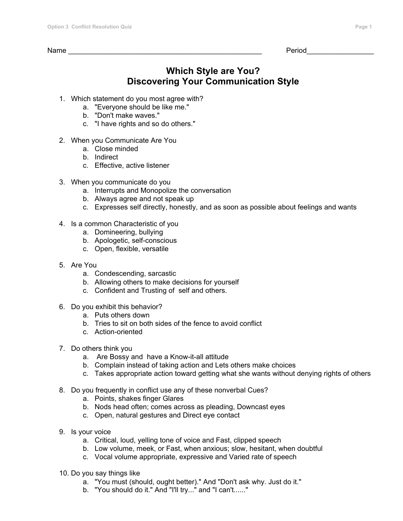$Period$ 

## **Which Style are You? Discovering Your Communication Style**

- 1. Which statement do you most agree with?
	- a. "Everyone should be like me."
	- b. "Don't make waves."
	- c. "I have rights and so do others."
- 2. When you Communicate Are You
	- a. Close minded
	- b. Indirect
	- c. Effective, active listener
- 3. When you communicate do you
	- a. Interrupts and Monopolize the conversation
	- b. Always agree and not speak up
	- c. Expresses self directly, honestly, and as soon as possible about feelings and wants
- 4. Is a common Characteristic of you
	- a. Domineering, bullying
	- b. Apologetic, self-conscious
	- c. Open, flexible, versatile
- 5. Are You
	- a. Condescending, sarcastic
	- b. Allowing others to make decisions for yourself
	- c. Confident and Trusting of self and others.
- 6. Do you exhibit this behavior?
	- a. Puts others down
	- b. Tries to sit on both sides of the fence to avoid conflict
	- c. Action-oriented
- 7. Do others think you
	- a. Are Bossy and have a Know-it-all attitude
	- b. Complain instead of taking action and Lets others make choices
	- c. Takes appropriate action toward getting what she wants without denying rights of others
- 8. Do you frequently in conflict use any of these nonverbal Cues?
	- a. Points, shakes finger Glares
	- b. Nods head often; comes across as pleading, Downcast eyes
	- c. Open, natural gestures and Direct eye contact
- 9. Is your voice
	- a. Critical, loud, yelling tone of voice and Fast, clipped speech
	- b. Low volume, meek, or Fast, when anxious; slow, hesitant, when doubtful
	- c. Vocal volume appropriate, expressive and Varied rate of speech
- 10. Do you say things like
	- a. "You must (should, ought better)." And "Don't ask why. Just do it."
	- b. "You should do it." And "I'll try..." and "I can't......"